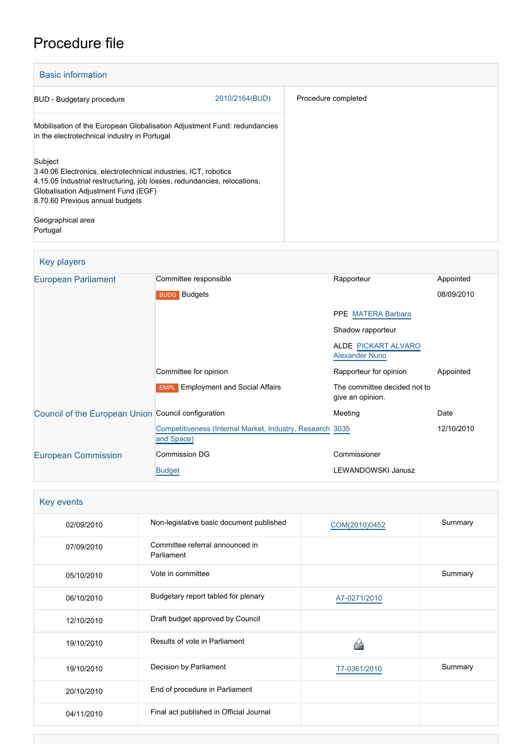# Procedure file

| <b>Basic information</b>                                                                                                                                                                                                         |                |                     |
|----------------------------------------------------------------------------------------------------------------------------------------------------------------------------------------------------------------------------------|----------------|---------------------|
| <b>BUD</b> - Budgetary procedure                                                                                                                                                                                                 | 2010/2164(BUD) | Procedure completed |
| Mobilisation of the European Globalisation Adjustment Fund: redundancies<br>in the electrotechnical industry in Portugal                                                                                                         |                |                     |
| Subject<br>3.40.06 Electronics, electrotechnical industries, ICT, robotics<br>4.15.05 Industrial restructuring, job losses, redundancies, relocations,<br>Globalisation Adjustment Fund (EGF)<br>8.70.60 Previous annual budgets |                |                     |
| Geographical area<br>Portugal                                                                                                                                                                                                    |                |                     |

# Key players

| European Parliament                                 | Committee responsible                                                   | Rapporteur                                       | Appointed  |
|-----------------------------------------------------|-------------------------------------------------------------------------|--------------------------------------------------|------------|
|                                                     | <b>BUDG</b> Budgets                                                     |                                                  | 08/09/2010 |
|                                                     |                                                                         | <b>PPE MATERA Barbara</b>                        |            |
|                                                     |                                                                         | Shadow rapporteur                                |            |
|                                                     |                                                                         | ALDE PICKART ALVARO<br><b>Alexander Nuno</b>     |            |
|                                                     | Committee for opinion                                                   | Rapporteur for opinion                           | Appointed  |
|                                                     | <b>EMPL</b> Employment and Social Affairs                               | The committee decided not to<br>give an opinion. |            |
| Council of the European Union Council configuration |                                                                         | Meeting                                          | Date       |
|                                                     | Competitiveness (Internal Market, Industry, Research 3035<br>and Space) |                                                  | 12/10/2010 |
| <b>European Commission</b>                          | Commission DG                                                           | Commissioner                                     |            |
|                                                     | <b>Budget</b>                                                           | <b>LEWANDOWSKI Janusz</b>                        |            |

# Key events

| 02/09/2010 | Non-legislative basic document published      | COM(2010)0452 | Summary |
|------------|-----------------------------------------------|---------------|---------|
| 07/09/2010 | Committee referral announced in<br>Parliament |               |         |
| 05/10/2010 | Vote in committee                             |               | Summary |
| 06/10/2010 | Budgetary report tabled for plenary           | A7-0271/2010  |         |
| 12/10/2010 | Draft budget approved by Council              |               |         |
| 19/10/2010 | Results of vote in Parliament                 |               |         |
| 19/10/2010 | Decision by Parliament                        | T7-0361/2010  | Summary |
| 20/10/2010 | End of procedure in Parliament                |               |         |
| 04/11/2010 | Final act published in Official Journal       |               |         |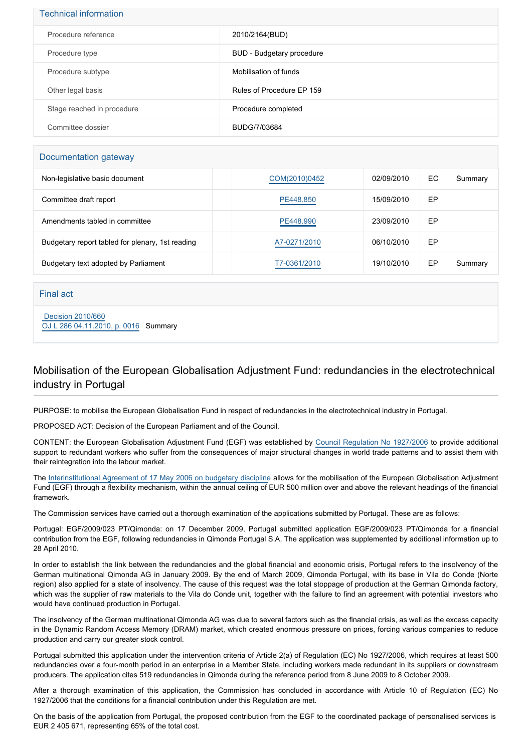| <b>Technical information</b> |                           |  |
|------------------------------|---------------------------|--|
| Procedure reference          | 2010/2164(BUD)            |  |
| Procedure type               | BUD - Budgetary procedure |  |
| Procedure subtype            | Mobilisation of funds     |  |
| Other legal basis            | Rules of Procedure EP 159 |  |
| Stage reached in procedure   | Procedure completed       |  |
| Committee dossier            | BUDG/7/03684              |  |

#### Documentation gateway

| Non-legislative basic document                   | COM(2010)0452 | 02/09/2010 | EC. | Summary |
|--------------------------------------------------|---------------|------------|-----|---------|
| Committee draft report                           | PE448,850     | 15/09/2010 | EP  |         |
| Amendments tabled in committee                   | PE448,990     | 23/09/2010 | EP  |         |
| Budgetary report tabled for plenary, 1st reading | A7-0271/2010  | 06/10/2010 | EP  |         |
| Budgetary text adopted by Parliament             | T7-0361/2010  | 19/10/2010 | EP  | Summary |

Final act

 [Decision 2010/660](https://eur-lex.europa.eu/smartapi/cgi/sga_doc?smartapi!celexplus!prod!CELEXnumdoc&lg=EN&numdoc=32010D0660) [OJ L 286 04.11.2010, p. 0016](https://eur-lex.europa.eu/LexUriServ/LexUriServ.do?uri=OJ:L:2010:286:0016:0016:EN:PDF) Summary

### Mobilisation of the European Globalisation Adjustment Fund: redundancies in the electrotechnical industry in Portugal

PURPOSE: to mobilise the European Globalisation Fund in respect of redundancies in the electrotechnical industry in Portugal.

PROPOSED ACT: Decision of the European Parliament and of the Council.

CONTENT: the European Globalisation Adjustment Fund (EGF) was established by [Council Regulation No 1927/2006](http://www.europarl.europa.eu/oeil/FindByProcnum.do?lang=en&procnum=COD/2006/0033) to provide additional support to redundant workers who suffer from the consequences of major structural changes in world trade patterns and to assist them with their reintegration into the labour market.

The [Interinstitutional Agreement of 17 May 2006 on budgetary discipline](http://www.europarl.europa.eu/oeil/FindByProcnum.do?lang=en&procnum=ACI/2004/2099) allows for the mobilisation of the European Globalisation Adjustment Fund (EGF) through a flexibility mechanism, within the annual ceiling of EUR 500 million over and above the relevant headings of the financial framework.

The Commission services have carried out a thorough examination of the applications submitted by Portugal. These are as follows:

Portugal: EGF/2009/023 PT/Qimonda: on 17 December 2009, Portugal submitted application EGF/2009/023 PT/Qimonda for a financial contribution from the EGF, following redundancies in Qimonda Portugal S.A. The application was supplemented by additional information up to 28 April 2010.

In order to establish the link between the redundancies and the global financial and economic crisis, Portugal refers to the insolvency of the German multinational Qimonda AG in January 2009. By the end of March 2009, Qimonda Portugal, with its base in Vila do Conde (Norte region) also applied for a state of insolvency. The cause of this request was the total stoppage of production at the German Qimonda factory. which was the supplier of raw materials to the Vila do Conde unit, together with the failure to find an agreement with potential investors who would have continued production in Portugal.

The insolvency of the German multinational Qimonda AG was due to several factors such as the financial crisis, as well as the excess capacity in the Dynamic Random Access Memory (DRAM) market, which created enormous pressure on prices, forcing various companies to reduce production and carry our greater stock control.

Portugal submitted this application under the intervention criteria of Article 2(a) of Regulation (EC) No 1927/2006, which requires at least 500 redundancies over a four-month period in an enterprise in a Member State, including workers made redundant in its suppliers or downstream producers. The application cites 519 redundancies in Qimonda during the reference period from 8 June 2009 to 8 October 2009.

After a thorough examination of this application, the Commission has concluded in accordance with Article 10 of Regulation (EC) No 1927/2006 that the conditions for a financial contribution under this Regulation are met.

On the basis of the application from Portugal, the proposed contribution from the EGF to the coordinated package of personalised services is EUR 2 405 671, representing 65% of the total cost.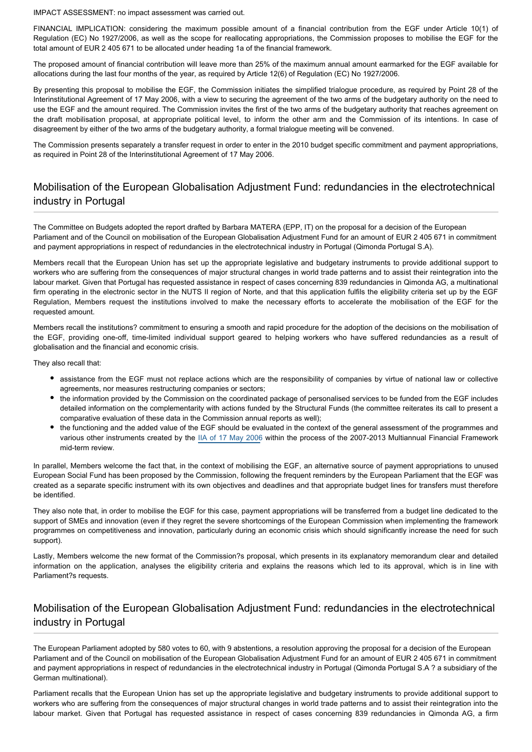IMPACT ASSESSMENT: no impact assessment was carried out.

FINANCIAL IMPLICATION: considering the maximum possible amount of a financial contribution from the EGF under Article 10(1) of Regulation (EC) No 1927/2006, as well as the scope for reallocating appropriations, the Commission proposes to mobilise the EGF for the total amount of EUR 2 405 671 to be allocated under heading 1a of the financial framework.

The proposed amount of financial contribution will leave more than 25% of the maximum annual amount earmarked for the EGF available for allocations during the last four months of the year, as required by Article 12(6) of Regulation (EC) No 1927/2006.

By presenting this proposal to mobilise the EGF, the Commission initiates the simplified trialogue procedure, as required by Point 28 of the Interinstitutional Agreement of 17 May 2006, with a view to securing the agreement of the two arms of the budgetary authority on the need to use the EGF and the amount required. The Commission invites the first of the two arms of the budgetary authority that reaches agreement on the draft mobilisation proposal, at appropriate political level, to inform the other arm and the Commission of its intentions. In case of disagreement by either of the two arms of the budgetary authority, a formal trialogue meeting will be convened.

The Commission presents separately a transfer request in order to enter in the 2010 budget specific commitment and payment appropriations, as required in Point 28 of the Interinstitutional Agreement of 17 May 2006.

### Mobilisation of the European Globalisation Adjustment Fund: redundancies in the electrotechnical industry in Portugal

The Committee on Budgets adopted the report drafted by Barbara MATERA (EPP, IT) on the proposal for a decision of the European Parliament and of the Council on mobilisation of the European Globalisation Adjustment Fund for an amount of EUR 2 405 671 in commitment and payment appropriations in respect of redundancies in the electrotechnical industry in Portugal (Qimonda Portugal S.A).

Members recall that the European Union has set up the appropriate legislative and budgetary instruments to provide additional support to workers who are suffering from the consequences of major structural changes in world trade patterns and to assist their reintegration into the labour market. Given that Portugal has requested assistance in respect of cases concerning 839 redundancies in Qimonda AG, a multinational firm operating in the electronic sector in the NUTS II region of Norte, and that this application fulfils the eligibility criteria set up by the EGF Regulation, Members request the institutions involved to make the necessary efforts to accelerate the mobilisation of the EGF for the requested amount.

Members recall the institutions? commitment to ensuring a smooth and rapid procedure for the adoption of the decisions on the mobilisation of the EGF, providing one-off, time-limited individual support geared to helping workers who have suffered redundancies as a result of globalisation and the financial and economic crisis.

They also recall that:

- assistance from the EGF must not replace actions which are the responsibility of companies by virtue of national law or collective agreements, nor measures restructuring companies or sectors;
- the information provided by the Commission on the coordinated package of personalised services to be funded from the EGF includes detailed information on the complementarity with actions funded by the Structural Funds (the committee reiterates its call to present a comparative evaluation of these data in the Commission annual reports as well);
- the functioning and the added value of the EGF should be evaluated in the context of the general assessment of the programmes and various other instruments created by the [IIA of 17 May 2006](http://www.europarl.europa.eu/oeil/FindByProcnum.do?lang=en&procnum=ACI/2004/2099) within the process of the 2007-2013 Multiannual Financial Framework mid-term review.

In parallel, Members welcome the fact that, in the context of mobilising the EGF, an alternative source of payment appropriations to unused European Social Fund has been proposed by the Commission, following the frequent reminders by the European Parliament that the EGF was created as a separate specific instrument with its own objectives and deadlines and that appropriate budget lines for transfers must therefore be identified.

They also note that, in order to mobilise the EGF for this case, payment appropriations will be transferred from a budget line dedicated to the support of SMEs and innovation (even if they regret the severe shortcomings of the European Commission when implementing the framework programmes on competitiveness and innovation, particularly during an economic crisis which should significantly increase the need for such support).

Lastly, Members welcome the new format of the Commission?s proposal, which presents in its explanatory memorandum clear and detailed information on the application, analyses the eligibility criteria and explains the reasons which led to its approval, which is in line with Parliament?s requests.

#### Mobilisation of the European Globalisation Adjustment Fund: redundancies in the electrotechnical industry in Portugal

The European Parliament adopted by 580 votes to 60, with 9 abstentions, a resolution approving the proposal for a decision of the European Parliament and of the Council on mobilisation of the European Globalisation Adjustment Fund for an amount of EUR 2 405 671 in commitment and payment appropriations in respect of redundancies in the electrotechnical industry in Portugal (Qimonda Portugal S.A ? a subsidiary of the German multinational).

Parliament recalls that the European Union has set up the appropriate legislative and budgetary instruments to provide additional support to workers who are suffering from the consequences of major structural changes in world trade patterns and to assist their reintegration into the labour market. Given that Portugal has requested assistance in respect of cases concerning 839 redundancies in Qimonda AG, a firm